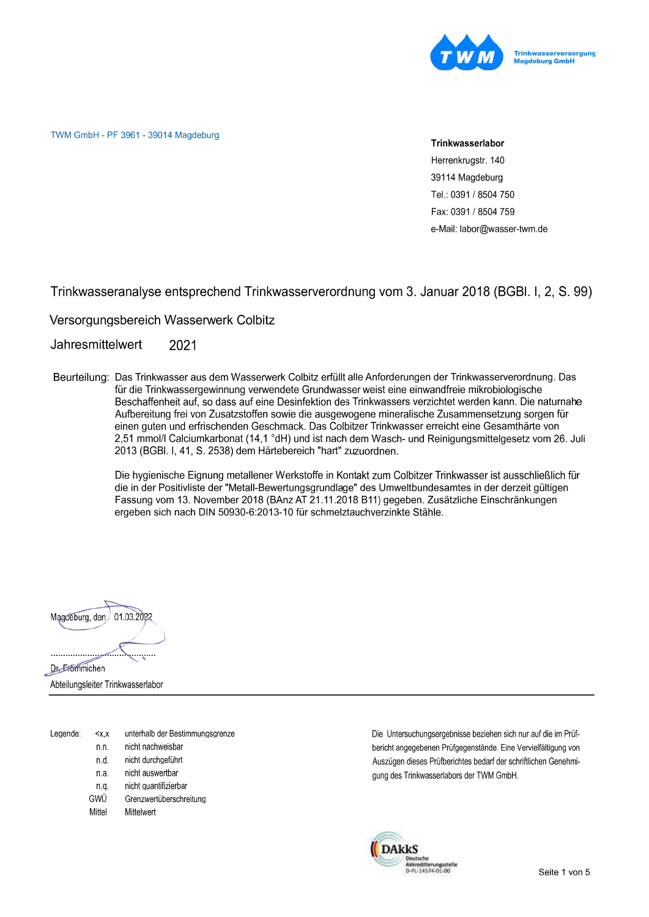

TWM GmbH - PF 3961 - 39014 Magdeburg

#### Trinkwasserlabor

Herrenkrugstr. 140 39114 Magdeburg Tel.: 0391 / 8504 750 Fax: 0391 / 8504 759 e-Mail: labor@wasser-twm.de

Trinkwasseranalyse entsprechend Trinkwasserverordnung vom 3. Januar 2018 (BGBI. I, 2, S. 99)

Versorgungsbereich Wasserwerk Colbitz

Jahresmittelwert 2021

Beurteilung: Das Trinkwasser aus dem Wasserwerk Colbitz erfüllt alle Anforderungen der Trinkwasserverordnung. Das für die Trinkwassergewinnung verwendete Grundwasser weist eine einwandfreie mikrobiologische Beschaffenheit auf, so dass auf eine Desinfektion des Trinkwassers verzichtet werden kann. Die naturnahe Aufbereitung frei von Zusatzstoffen sowie die ausgewogene mineralische Zusammensetzung sorgen für einen guten und erfrischenden Geschmack. Das Colbitzer Trinkwasser erreicht eine Gesamthärte von 2,51 mmol/l Calciumkarbonat (14,1 °dH) und ist nach dem Wasch- und Reinigungsmittelgesetz vom 26. Juli 2013 (BGBI. I, 41, S. 2538) dem Härtebereich "hart" zuzuordnen.

> Die hygienische Eignung metallener Werkstoffe in Kontakt zum Colbitzer Trinkwasser ist ausschließlich für die in der Positivliste der "Metall-Bewertungsgrundlage" des Umweltbundesamtes in der derzeit gültigen Fassung vom 13. November 2018 (BAnz AT 21.11.2018 B11) gegeben. Zusätzliche Einschränkungen ergeben sich nach DIN 50930-6:2013-10 für schmelztauchverzinkte Stähle.



Abteilungsleiter Trinkwasserlabor

| nicht nachweisbar<br>n.n.<br>nicht durchgeführt<br>n.d.<br>nicht auswertbar<br>n.a.<br>nicht quantifizierbar<br>n.q.<br>GWÜ<br>Grenzwertüberschreitung | Legende: | $<$ $X.X$ | unterhalb der Bestimmungsgrenze |
|--------------------------------------------------------------------------------------------------------------------------------------------------------|----------|-----------|---------------------------------|
|                                                                                                                                                        |          |           |                                 |
|                                                                                                                                                        |          |           |                                 |
|                                                                                                                                                        |          |           |                                 |
|                                                                                                                                                        |          |           |                                 |
|                                                                                                                                                        |          |           |                                 |
|                                                                                                                                                        |          | Mittel    | Mittelwert                      |

Die Untersuchungsergebnisse beziehen sich nur auf die im Prüfbericht angegebenen Prüfgegenstände. Eine Vervielfältigung von Auszügen dieses Prüfberichtes bedarf der schriftlichen Genehmigung des Trinkwasserlabors der TWM GmbH.

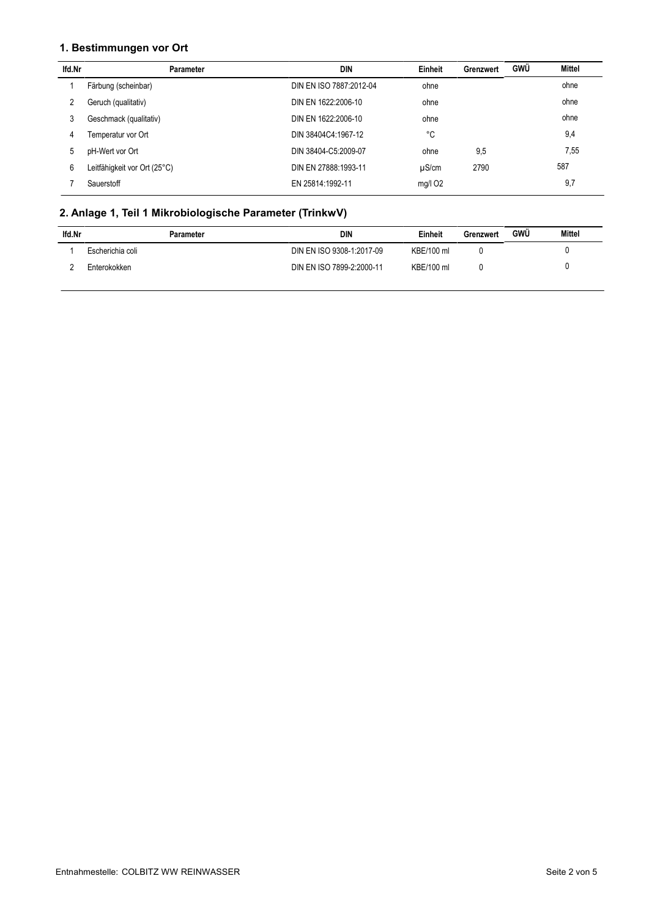#### 1. Bestimmungen vor Ort

| lfd.Nr | Parameter                    | DIN                     | Einheit    | Grenzwert | GWÜ | Mittel |
|--------|------------------------------|-------------------------|------------|-----------|-----|--------|
|        | Färbung (scheinbar)          | DIN EN ISO 7887:2012-04 | ohne       |           |     | ohne   |
| 2      | Geruch (qualitativ)          | DIN EN 1622:2006-10     | ohne       |           |     | ohne   |
| 3      | Geschmack (qualitativ)       | DIN EN 1622:2006-10     | ohne       |           |     | ohne   |
| 4      | Temperatur vor Ort           | DIN 38404C4:1967-12     | °C         |           |     | 9,4    |
| 5      | pH-Wert vor Ort              | DIN 38404-C5:2009-07    | ohne       | 9,5       |     | 7,55   |
| 6      | Leitfähigkeit vor Ort (25°C) | DIN EN 27888:1993-11    | $\mu$ S/cm | 2790      |     | 587    |
|        | Sauerstoff                   | EN 25814:1992-11        | $mg/l$ O2  |           |     | 9,7    |

# 2. Anlage 1, Teil 1 Mikrobiologische Parameter (TrinkwV)

| lfd.Nr | Parameter        | DIN                       | Einheit    | Grenzwert | <b>GWU</b> | Mittel |
|--------|------------------|---------------------------|------------|-----------|------------|--------|
|        | Escherichia coli | DIN EN ISO 9308-1:2017-09 | KBE/100 ml |           |            |        |
|        | Enterokokken     | DIN EN ISO 7899-2:2000-11 | KBE/100 ml |           |            |        |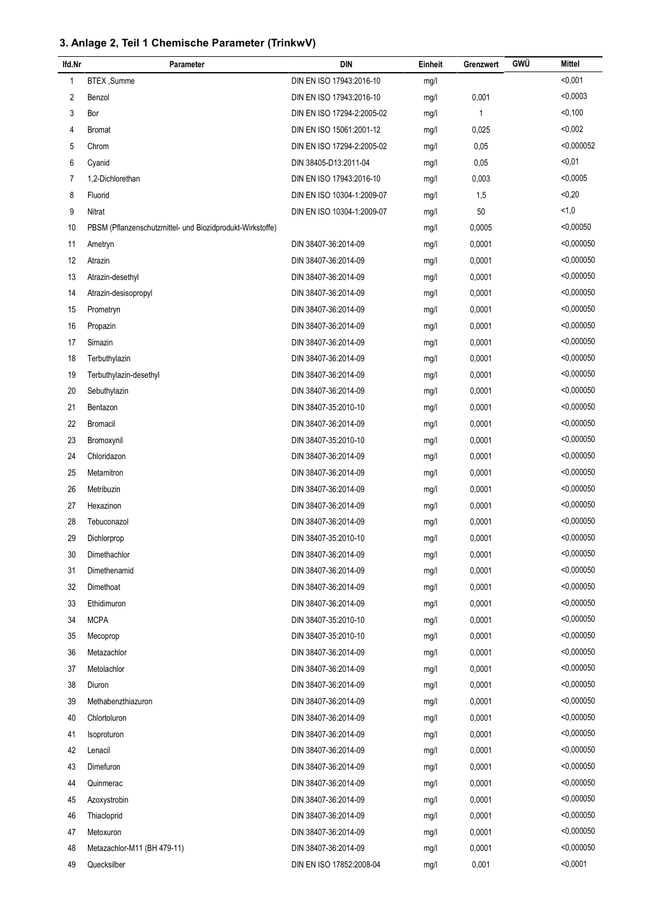## 3. Anlage 2, Teil 1 Chemische Parameter (TrinkwV)

| lfd.Nr         | Parameter                                                 | <b>DIN</b>                 | Einheit | Grenzwert | GWÜ | <b>Mittel</b> |
|----------------|-----------------------------------------------------------|----------------------------|---------|-----------|-----|---------------|
| 1              | BTEX, Summe                                               | DIN EN ISO 17943:2016-10   | mg/l    |           |     | < 0,001       |
| 2              | Benzol                                                    | DIN EN ISO 17943:2016-10   | mg/l    | 0,001     |     | < 0,0003      |
| 3              | Bor                                                       | DIN EN ISO 17294-2:2005-02 | mg/l    | 1         |     | < 0, 100      |
| 4              | Bromat                                                    | DIN EN ISO 15061:2001-12   | mg/l    | 0,025     |     | < 0,002       |
| 5              | Chrom                                                     | DIN EN ISO 17294-2:2005-02 | mg/l    | 0,05      |     | < 0,000052    |
| 6              | Cyanid                                                    | DIN 38405-D13:2011-04      | mg/l    | 0,05      |     | $0,01$        |
| $\overline{7}$ | 1,2-Dichlorethan                                          | DIN EN ISO 17943:2016-10   | mg/l    | 0,003     |     | < 0,0005      |
| 8              | Fluorid                                                   | DIN EN ISO 10304-1:2009-07 | mg/l    | 1,5       |     | < 0, 20       |
| 9              | Nitrat                                                    | DIN EN ISO 10304-1:2009-07 | mg/l    | 50        |     | 1,0           |
| 10             | PBSM (Pflanzenschutzmittel- und Biozidprodukt-Wirkstoffe) |                            | mg/l    | 0,0005    |     | < 0,00050     |
| 11             | Ametryn                                                   | DIN 38407-36:2014-09       | mg/l    | 0,0001    |     | $<$ 0,000050  |
| 12             | Atrazin                                                   | DIN 38407-36:2014-09       | mg/l    | 0,0001    |     | < 0,000050    |
| 13             | Atrazin-desethyl                                          | DIN 38407-36:2014-09       | mg/l    | 0,0001    |     | < 0,000050    |
| 14             | Atrazin-desisopropyl                                      | DIN 38407-36:2014-09       | mg/l    | 0,0001    |     | < 0,000050    |
| 15             | Prometryn                                                 | DIN 38407-36:2014-09       | mg/l    | 0,0001    |     | $<$ 0,000050  |
| 16             | Propazin                                                  | DIN 38407-36:2014-09       | mg/l    | 0.0001    |     | < 0.000050    |
| 17             | Simazin                                                   | DIN 38407-36:2014-09       | mg/l    | 0,0001    |     | < 0,000050    |
| 18             | Terbuthylazin                                             | DIN 38407-36:2014-09       | mg/l    | 0,0001    |     | < 0,000050    |
| 19             | Terbuthylazin-desethyl                                    | DIN 38407-36:2014-09       | mg/l    | 0,0001    |     | $<$ 0,000050  |
| 20             | Sebuthylazin                                              | DIN 38407-36:2014-09       | mg/l    | 0,0001    |     | < 0,000050    |
| 21             | Bentazon                                                  | DIN 38407-35:2010-10       | mg/l    | 0,0001    |     | $<$ 0,000050  |
| 22             | <b>Bromacil</b>                                           | DIN 38407-36:2014-09       | mg/l    | 0,0001    |     | < 0,000050    |
| 23             | Bromoxynil                                                | DIN 38407-35:2010-10       | mg/l    | 0,0001    |     | < 0,000050    |
| 24             | Chloridazon                                               | DIN 38407-36:2014-09       | mg/l    | 0,0001    |     | < 0,000050    |
| 25             | Metamitron                                                | DIN 38407-36:2014-09       | mg/l    | 0,0001    |     | < 0,000050    |
| 26             | Metribuzin                                                | DIN 38407-36:2014-09       | mg/l    | 0,0001    |     | < 0,000050    |
| 27             | Hexazinon                                                 | DIN 38407-36:2014-09       | mg/l    | 0,0001    |     | < 0,000050    |
| 28             | Tebuconazol                                               | DIN 38407-36:2014-09       | mg/l    | 0,0001    |     | < 0,000050    |
| 29             | Dichlorprop                                               | DIN 38407-35:2010-10       | mg/l    | 0,0001    |     | < 0,000050    |
| 30             | Dimethachlor                                              | DIN 38407-36:2014-09       | mg/l    | 0,0001    |     | < 0,000050    |
| 31             | Dimethenamid                                              | DIN 38407-36:2014-09       | mg/l    | 0,0001    |     | $<$ 0,000050  |
| 32             | Dimethoat                                                 | DIN 38407-36:2014-09       | mg/l    | 0,0001    |     | < 0,000050    |
| 33             | Ethidimuron                                               | DIN 38407-36:2014-09       | mg/l    | 0,0001    |     | < 0.000050    |
| 34             | <b>MCPA</b>                                               | DIN 38407-35:2010-10       | mg/l    | 0,0001    |     | < 0.000050    |
| 35             | Mecoprop                                                  | DIN 38407-35:2010-10       | mg/l    | 0,0001    |     | < 0.000050    |
| 36             | Metazachlor                                               | DIN 38407-36:2014-09       | mg/l    | 0,0001    |     | $<$ 0,000050  |
| 37             | Metolachlor                                               | DIN 38407-36:2014-09       | mg/l    | 0,0001    |     | $<$ 0,000050  |
| 38             | Diuron                                                    | DIN 38407-36:2014-09       | mg/l    | 0,0001    |     | < 0,000050    |
| 39             | Methabenzthiazuron                                        | DIN 38407-36:2014-09       | mg/l    | 0,0001    |     | $<$ 0,000050  |
| 40             | Chlortoluron                                              | DIN 38407-36:2014-09       | mg/l    | 0,0001    |     | < 0,000050    |
| 41             | Isoproturon                                               | DIN 38407-36:2014-09       | mg/l    | 0,0001    |     | $<$ 0,000050  |
| 42             | Lenacil                                                   | DIN 38407-36:2014-09       | mg/l    | 0,0001    |     | $<$ 0,000050  |
| 43             | Dimefuron                                                 | DIN 38407-36:2014-09       | mg/l    | 0,0001    |     | < 0,000050    |
| 44             | Quinmerac                                                 | DIN 38407-36:2014-09       | mg/l    | 0,0001    |     | < 0,000050    |
| 45             | Azoxystrobin                                              | DIN 38407-36:2014-09       | mg/l    | 0,0001    |     | $<$ 0,000050  |
| 46             | Thiacloprid                                               | DIN 38407-36:2014-09       | mg/l    | 0,0001    |     | $<$ 0,000050  |
| 47             | Metoxuron                                                 | DIN 38407-36:2014-09       | mg/l    | 0,0001    |     | < 0,000050    |
| 48             | Metazachlor-M11 (BH 479-11)                               | DIN 38407-36:2014-09       | mg/l    | 0,0001    |     | < 0,000050    |
| 49             | Quecksilber                                               | DIN EN ISO 17852:2008-04   | mg/l    | 0,001     |     | < 0,0001      |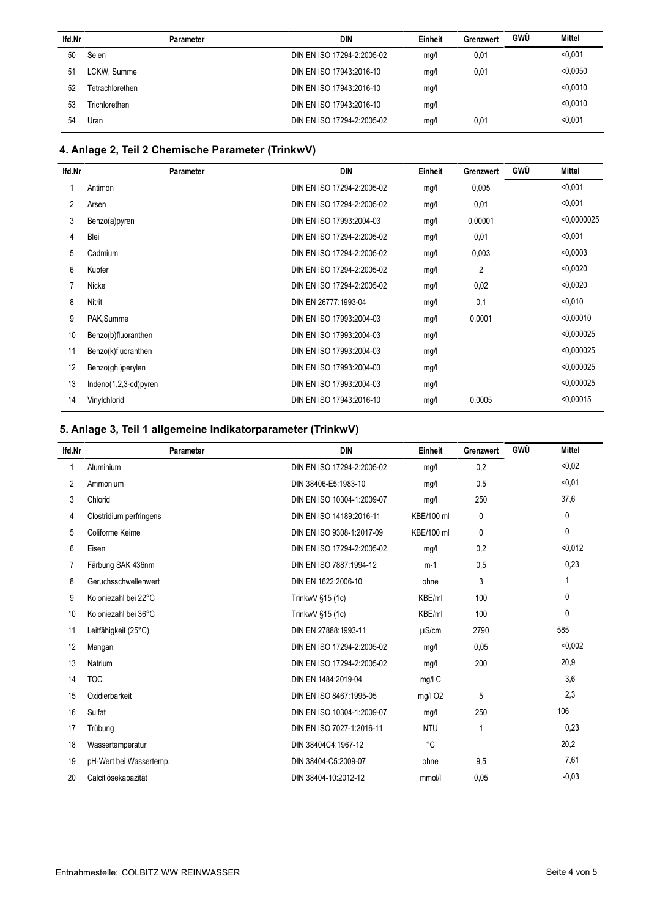| lfd.Nr | <b>Parameter</b> | <b>DIN</b>                 | Einheit | Grenzwert | <b>GWÜ</b> | Mittel   |
|--------|------------------|----------------------------|---------|-----------|------------|----------|
| 50     | Selen            | DIN EN ISO 17294-2:2005-02 | mg/l    | 0,01      |            | < 0.001  |
| 51     | LCKW, Summe      | DIN EN ISO 17943:2016-10   | mg/l    | 0,01      |            | < 0.0050 |
| 52     | Tetrachlorethen  | DIN EN ISO 17943:2016-10   | mg/l    |           |            | < 0.0010 |
| 53     | Trichlorethen    | DIN EN ISO 17943:2016-10   | mg/l    |           |            | < 0.0010 |
| 54     | Uran             | DIN EN ISO 17294-2:2005-02 | mg/l    | 0,01      |            | < 0.001  |

## 4. Anlage 2, Teil 2 Chemische Parameter (TrinkwV)

| lfd.Nr | <b>Parameter</b>        | <b>DIN</b>                 | Einheit | Grenzwert | GWÜ | <b>Mittel</b> |
|--------|-------------------------|----------------------------|---------|-----------|-----|---------------|
|        | Antimon                 | DIN EN ISO 17294-2:2005-02 | mg/l    | 0,005     |     | < 0,001       |
| 2      | Arsen                   | DIN EN ISO 17294-2:2005-02 | mg/l    | 0,01      |     | < 0,001       |
| 3      | Benzo(a)pyren           | DIN EN ISO 17993:2004-03   | mg/l    | 0,00001   |     | < 0.0000025   |
| 4      | Blei                    | DIN EN ISO 17294-2:2005-02 | mg/l    | 0,01      |     | < 0,001       |
| 5      | Cadmium                 | DIN EN ISO 17294-2:2005-02 | mg/l    | 0,003     |     | < 0.0003      |
| 6      | Kupfer                  | DIN EN ISO 17294-2:2005-02 | mg/l    | 2         |     | < 0.0020      |
|        | Nickel                  | DIN EN ISO 17294-2:2005-02 | mg/l    | 0,02      |     | < 0.0020      |
| 8      | Nitrit                  | DIN EN 26777:1993-04       | mg/l    | 0,1       |     | < 0.010       |
| 9      | PAK, Summe              | DIN EN ISO 17993:2004-03   | mg/l    | 0,0001    |     | < 0.00010     |
| 10     | Benzo(b)fluoranthen     | DIN EN ISO 17993:2004-03   | mg/l    |           |     | < 0.000025    |
| 11     | Benzo(k)fluoranthen     | DIN EN ISO 17993:2004-03   | mg/l    |           |     | < 0.000025    |
| 12     | Benzo(ghi)perylen       | DIN EN ISO 17993:2004-03   | mg/l    |           |     | < 0.000025    |
| 13     | $Indeno(1,2,3-cd)pyren$ | DIN EN ISO 17993:2004-03   | mg/l    |           |     | < 0.000025    |
| 14     | Vinylchlorid            | DIN EN ISO 17943:2016-10   | mg/l    | 0,0005    |     | < 0.00015     |
|        |                         |                            |         |           |     |               |

## 5. Anlage 3, Teil 1 allgemeine Indikatorparameter (TrinkwV)

| lfd.Nr | <b>Parameter</b>        | <b>DIN</b>                 | Einheit             | Grenzwert    | GWÜ | <b>Mittel</b> |
|--------|-------------------------|----------------------------|---------------------|--------------|-----|---------------|
| 1      | Aluminium               | DIN EN ISO 17294-2:2005-02 | mq/l                | 0,2          |     | < 0.02        |
| 2      | Ammonium                | DIN 38406-E5:1983-10       | mq/l                | 0,5          |     | < 0.01        |
| 3      | Chlorid                 | DIN EN ISO 10304-1:2009-07 | mg/l                | 250          |     | 37,6          |
| 4      | Clostridium perfringens | DIN EN ISO 14189:2016-11   | KBE/100 ml          | $\mathbf{0}$ |     | $\mathbf{0}$  |
| 5      | Coliforme Keime         | DIN EN ISO 9308-1:2017-09  | KBE/100 ml          | $\mathbf{0}$ |     | 0             |
| 6      | Eisen                   | DIN EN ISO 17294-2:2005-02 | mg/l                | 0,2          |     | < 0.012       |
| 7      | Färbung SAK 436nm       | DIN EN ISO 7887:1994-12    | $m-1$               | 0,5          |     | 0,23          |
| 8      | Geruchsschwellenwert    | DIN EN 1622:2006-10        | ohne                | 3            |     | 1             |
| 9      | Koloniezahl bei 22°C    | TrinkwV §15 (1c)           | KBE/ml              | 100          |     | 0             |
| 10     | Koloniezahl bei 36°C    | TrinkwV §15 (1c)           | KBE/ml              | 100          |     | 0             |
| 11     | Leitfähigkeit (25°C)    | DIN EN 27888:1993-11       | $\mu$ S/cm          | 2790         |     | 585           |
| 12     | Mangan                  | DIN EN ISO 17294-2:2005-02 | mg/l                | 0,05         |     | < 0.002       |
| 13     | Natrium                 | DIN EN ISO 17294-2:2005-02 | mg/l                | 200          |     | 20,9          |
| 14     | <b>TOC</b>              | DIN EN 1484:2019-04        | mg/l C              |              |     | 3,6           |
| 15     | Oxidierbarkeit          | DIN EN ISO 8467:1995-05    | mg/l O <sub>2</sub> | 5            |     | 2,3           |
| 16     | Sulfat                  | DIN EN ISO 10304-1:2009-07 | mg/l                | 250          |     | 106           |
| 17     | Trübung                 | DIN EN ISO 7027-1:2016-11  | <b>NTU</b>          | $\mathbf{1}$ |     | 0,23          |
| 18     | Wassertemperatur        | DIN 38404C4:1967-12        | °C                  |              |     | 20,2          |
| 19     | pH-Wert bei Wassertemp. | DIN 38404-C5:2009-07       | ohne                | 9,5          |     | 7,61          |
| 20     | Calcitlösekapazität     | DIN 38404-10:2012-12       | mmol/l              | 0,05         |     | $-0.03$       |